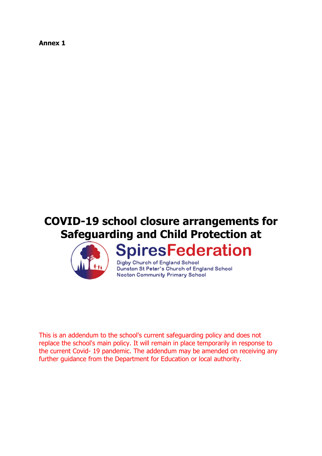**Annex 1**

# **COVID-19 school closure arrangements for Safeguarding and Child Protection at**



# **SpiresFederation**

Digby Church of England School Dunston St Peter's Church of England School Nocton Community Primary School

This is an addendum to the school's current safeguarding policy and does not replace the school's main policy. It will remain in place temporarily in response to the current Covid- 19 pandemic. The addendum may be amended on receiving any further guidance from the Department for Education or local authority.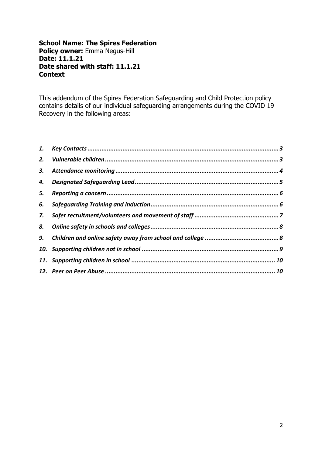#### **School Name: The Spires Federation Policy owner:** Emma Negus-Hill **Date: 11.1.21 Date shared with staff: 11.1.21 Context**

<span id="page-1-0"></span>This addendum of the Spires Federation Safeguarding and Child Protection policy contains details of our individual safeguarding arrangements during the COVID 19 Recovery in the following areas:

| 5. |  |
|----|--|
| 6. |  |
| 7. |  |
|    |  |
|    |  |
|    |  |
|    |  |
|    |  |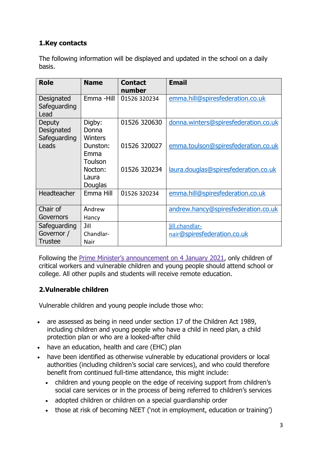# **1.Key contacts**

The following information will be displayed and updated in the school on a daily basis.

| <b>Role</b>                                  | <b>Name</b>                       | <b>Contact</b><br>number | <b>Email</b>                                  |
|----------------------------------------------|-----------------------------------|--------------------------|-----------------------------------------------|
| Designated<br>Safeguarding<br>Lead           | Emma -Hill                        | 01526 320234             | emma.hill@spiresfederation.co.uk              |
| Deputy<br>Designated<br>Safeguarding         | Digby:<br>Donna<br><b>Winters</b> | 01526 320630             | donna.winters@spiresfederation.co.uk          |
| Leads                                        | Dunston:<br>Emma<br>Toulson       | 01526 320027             | emma.toulson@spiresfederation.co.uk           |
|                                              | Nocton:<br>Laura<br>Douglas       | 01526 320234             | laura.douglas@spiresfederation.co.uk          |
| Headteacher                                  | Emma Hill                         | 01526 320234             | emma.hill@spiresfederation.co.uk              |
| Chair of<br>Governors                        | Andrew<br>Hancy                   |                          | andrew.hancy@spiresfederation.co.uk           |
| Safeguarding<br>Governor /<br><b>Trustee</b> | Jill<br>Chandlar-<br>Nair         |                          | jill.chandlar-<br>nair@spiresfederation.co.uk |

Following the Prime Minister's [announcement](https://www.gov.uk/guidance/national-lockdown-stay-at-home) on 4 January 2021, only children of critical workers and vulnerable children and young people should attend school or college. All other pupils and students will receive remote education.

### <span id="page-2-0"></span>**2.Vulnerable children**

Vulnerable children and young people include those who:

- are assessed as being in need under section 17 of the Children Act 1989, including children and young people who have a child in need plan, a child protection plan or who are a looked-after child
- have an education, health and care (EHC) plan
- have been identified as otherwise vulnerable by educational providers or local authorities (including children's social care services), and who could therefore benefit from continued full-time attendance, this might include:
	- children and young people on the edge of receiving support from children's social care services or in the process of being referred to children's services
	- adopted children or children on a special guardianship order
	- those at risk of becoming NEET ('not in employment, education or training')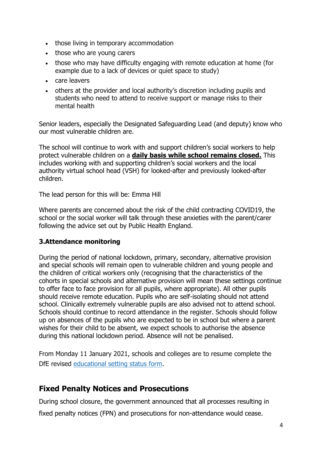- those living in temporary accommodation
- those who are young carers
- those who may have difficulty engaging with remote education at home (for example due to a lack of devices or quiet space to study)
- care leavers
- others at the provider and local authority's discretion including pupils and students who need to attend to receive support or manage risks to their mental health

Senior leaders, especially the Designated Safeguarding Lead (and deputy) know who our most vulnerable children are.

The school will continue to work with and support children's social workers to help protect vulnerable children on a **daily basis while school remains closed.** This includes working with and supporting children's social workers and the local authority virtual school head (VSH) for looked-after and previously looked-after children.

The lead person for this will be: Emma Hill

Where parents are concerned about the risk of the child contracting COVID19, the school or the social worker will talk through these anxieties with the parent/carer following the advice set out by Public Health England.

#### <span id="page-3-0"></span>**3.Attendance monitoring**

During the period of national lockdown, primary, secondary, alternative provision and special schools will remain open to vulnerable children and young people and the children of critical workers only (recognising that the characteristics of the cohorts in special schools and alternative provision will mean these settings continue to offer face to face provision for all pupils, where appropriate). All other pupils should receive remote education. Pupils who are self-isolating should not attend school. Clinically extremely vulnerable pupils are also advised not to attend school. Schools should continue to record attendance in the register. Schools should follow up on absences of the pupils who are expected to be in school but where a parent wishes for their child to be absent, we expect schools to authorise the absence during this national lockdown period. Absence will not be penalised.

From Monday 11 January 2021, schools and colleges are to resume complete the DfE revised [educational setting status form.](https://form.education.gov.uk/service/educational-setting-status)

# **Fixed Penalty Notices and Prosecutions**

During school closure, the government announced that all processes resulting in fixed penalty notices (FPN) and prosecutions for non-attendance would cease.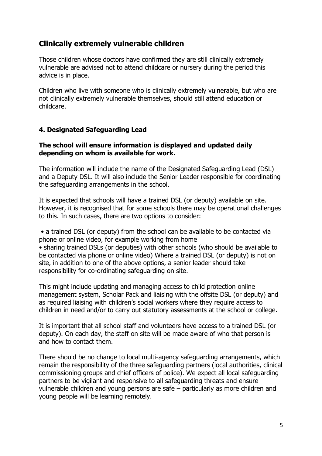# **Clinically extremely vulnerable children**

Those children whose doctors have confirmed they are still clinically extremely vulnerable are advised not to attend childcare or nursery during the period this advice is in place.

Children who live with someone who is clinically extremely vulnerable, but who are not clinically extremely vulnerable themselves, should still attend education or childcare.

#### <span id="page-4-0"></span>**4. Designated Safeguarding Lead**

#### **The school will ensure information is displayed and updated daily depending on whom is available for work.**

The information will include the name of the Designated Safeguarding Lead (DSL) and a Deputy DSL. It will also include the Senior Leader responsible for coordinating the safeguarding arrangements in the school.

It is expected that schools will have a trained DSL (or deputy) available on site. However, it is recognised that for some schools there may be operational challenges to this. In such cases, there are two options to consider:

• a trained DSL (or deputy) from the school can be available to be contacted via phone or online video, for example working from home • sharing trained DSLs (or deputies) with other schools (who should be available to be contacted via phone or online video) Where a trained DSL (or deputy) is not on site, in addition to one of the above options, a senior leader should take responsibility for co-ordinating safeguarding on site.

This might include updating and managing access to child protection online management system, Scholar Pack and liaising with the offsite DSL (or deputy) and as required liaising with children's social workers where they require access to children in need and/or to carry out statutory assessments at the school or college.

It is important that all school staff and volunteers have access to a trained DSL (or deputy). On each day, the staff on site will be made aware of who that person is and how to contact them.

There should be no change to local multi-agency safeguarding arrangements, which remain the responsibility of the three safeguarding partners (local authorities, clinical commissioning groups and chief officers of police). We expect all local safeguarding partners to be vigilant and responsive to all safeguarding threats and ensure vulnerable children and young persons are safe – particularly as more children and young people will be learning remotely.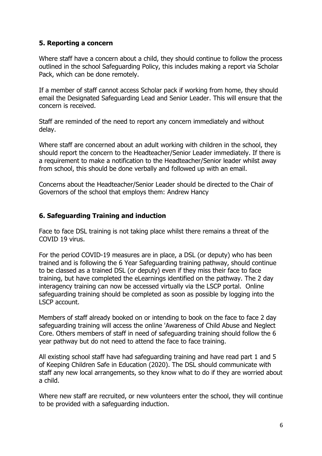#### <span id="page-5-0"></span>**5. Reporting a concern**

Where staff have a concern about a child, they should continue to follow the process outlined in the school Safeguarding Policy, this includes making a report via Scholar Pack, which can be done remotely.

If a member of staff cannot access Scholar pack if working from home, they should email the Designated Safeguarding Lead and Senior Leader. This will ensure that the concern is received.

Staff are reminded of the need to report any concern immediately and without delay.

Where staff are concerned about an adult working with children in the school, they should report the concern to the Headteacher/Senior Leader immediately. If there is a requirement to make a notification to the Headteacher/Senior leader whilst away from school, this should be done verbally and followed up with an email.

<span id="page-5-1"></span>Concerns about the Headteacher/Senior Leader should be directed to the Chair of Governors of the school that employs them: Andrew Hancy

#### **6. Safeguarding Training and induction**

Face to face DSL training is not taking place whilst there remains a threat of the COVID 19 virus.

For the period COVID-19 measures are in place, a DSL (or deputy) who has been trained and is following the 6 Year Safeguarding training pathway, should continue to be classed as a trained DSL (or deputy) even if they miss their face to face training, but have completed the eLearnings identified on the pathway. The 2 day interagency training can now be accessed virtually via the LSCP portal. Online safeguarding training should be completed as soon as possible by logging into the LSCP account.

Members of staff already booked on or intending to book on the face to face 2 day safeguarding training will access the online 'Awareness of Child Abuse and Neglect Core. Others members of staff in need of safeguarding training should follow the 6 year pathway but do not need to attend the face to face training.

All existing school staff have had safeguarding training and have read part 1 and 5 of Keeping Children Safe in Education (2020). The DSL should communicate with staff any new local arrangements, so they know what to do if they are worried about a child.

Where new staff are recruited, or new volunteers enter the school, they will continue to be provided with a safeguarding induction.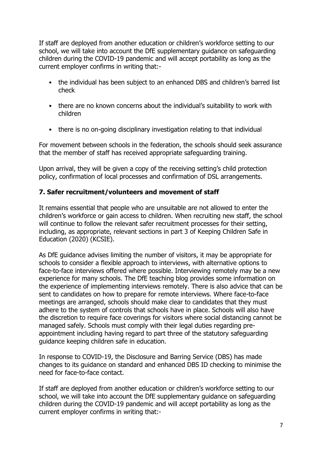If staff are deployed from another education or children's workforce setting to our school, we will take into account the DfE supplementary guidance on safeguarding children during the COVID-19 pandemic and will accept portability as long as the current employer confirms in writing that:-

- the individual has been subject to an enhanced DBS and children's barred list check
- there are no known concerns about the individual's suitability to work with children
- there is no on-going disciplinary investigation relating to that individual

For movement between schools in the federation, the schools should seek assurance that the member of staff has received appropriate safeguarding training.

Upon arrival, they will be given a copy of the receiving setting's child protection policy, confirmation of local processes and confirmation of DSL arrangements.

#### <span id="page-6-0"></span>**7. Safer recruitment/volunteers and movement of staff**

It remains essential that people who are unsuitable are not allowed to enter the children's workforce or gain access to children. When recruiting new staff, the school will continue to follow the relevant safer recruitment processes for their setting, including, as appropriate, relevant sections in part 3 of Keeping Children Safe in Education (2020) (KCSIE).

As DfE guidance advises limiting the number of visitors, it may be appropriate for schools to consider a flexible approach to interviews, with alternative options to face-to-face interviews offered where possible. Interviewing remotely may be a new experience for many schools. The DfE teaching blog provides some information on the experience of implementing interviews remotely. There is also advice that can be sent to candidates on how to prepare for remote interviews. Where face-to-face meetings are arranged, schools should make clear to candidates that they must adhere to the system of controls that schools have in place. Schools will also have the discretion to require face coverings for visitors where social distancing cannot be managed safely. Schools must comply with their legal duties regarding preappointment including having regard to part three of the statutory safeguarding guidance keeping children safe in education.

In response to COVID-19, the Disclosure and Barring Service (DBS) has made changes to its guidance on standard and enhanced DBS ID checking to minimise the need for face-to-face contact.

If staff are deployed from another education or children's workforce setting to our school, we will take into account the DfE supplementary guidance on safeguarding children during the COVID-19 pandemic and will accept portability as long as the current employer confirms in writing that:-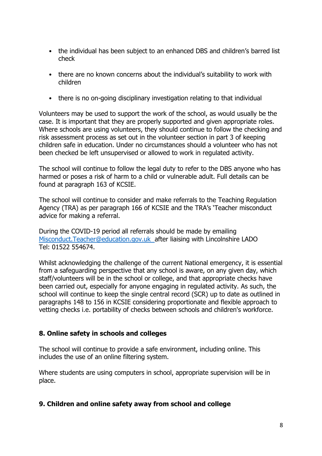- the individual has been subject to an enhanced DBS and children's barred list check
- there are no known concerns about the individual's suitability to work with children
- there is no on-going disciplinary investigation relating to that individual

Volunteers may be used to support the work of the school, as would usually be the case. It is important that they are properly supported and given appropriate roles. Where schools are using volunteers, they should continue to follow the checking and risk assessment process as set out in the volunteer section in part 3 of keeping children safe in education. Under no circumstances should a volunteer who has not been checked be left unsupervised or allowed to work in regulated activity.

The school will continue to follow the legal duty to refer to the DBS anyone who has harmed or poses a risk of harm to a child or vulnerable adult. Full details can be found at paragraph 163 of KCSIE.

The school will continue to consider and make referrals to the Teaching Regulation Agency (TRA) as per paragraph 166 of KCSIE and the TRA's 'Teacher misconduct advice for making a referral.

During the COVID-19 period all referrals should be made by emailing [Misconduct.Teacher@education.gov.uk](mailto:Misconduct.Teacher@education.gov.uk)\_after liaising with Lincolnshire LADO Tel: 01522 554674.

Whilst acknowledging the challenge of the current National emergency, it is essential from a safeguarding perspective that any school is aware, on any given day, which staff/volunteers will be in the school or college, and that appropriate checks have been carried out, especially for anyone engaging in regulated activity. As such, the school will continue to keep the single central record (SCR) up to date as outlined in paragraphs 148 to 156 in KCSIE considering proportionate and flexible approach to vetting checks i.e. portability of checks between schools and children's workforce.

#### <span id="page-7-0"></span>**8. Online safety in schools and colleges**

The school will continue to provide a safe environment, including online. This includes the use of an online filtering system.

Where students are using computers in school, appropriate supervision will be in place.

#### <span id="page-7-1"></span>**9. Children and online safety away from school and college**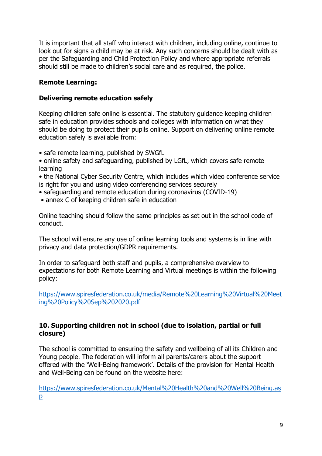It is important that all staff who interact with children, including online, continue to look out for signs a child may be at risk. Any such concerns should be dealt with as per the Safeguarding and Child Protection Policy and where appropriate referrals should still be made to children's social care and as required, the police.

#### **Remote Learning:**

#### **Delivering remote education safely**

Keeping children safe online is essential. The statutory guidance keeping children safe in education provides schools and colleges with information on what they should be doing to protect their pupils online. Support on delivering online remote education safely is available from:

- safe remote learning, published by SWGfL
- online safety and safeguarding, published by LGfL, which covers safe remote learning
- the National Cyber Security Centre, which includes which video conference service is right for you and using video conferencing services securely
- safeguarding and remote education during coronavirus (COVID-19)
- annex C of keeping children safe in education

Online teaching should follow the same principles as set out in the school code of conduct.

The school will ensure any use of online learning tools and systems is in line with privacy and data protection/GDPR requirements.

In order to safeguard both staff and pupils, a comprehensive overview to expectations for both Remote Learning and Virtual meetings is within the following policy:

[https://www.spiresfederation.co.uk/media/Remote%20Learning%20Virtual%20Meet](https://www.spiresfederation.co.uk/media/Remote%20Learning%20Virtual%20Meeting%20Policy%20Sep%202020.pdf) [ing%20Policy%20Sep%202020.pdf](https://www.spiresfederation.co.uk/media/Remote%20Learning%20Virtual%20Meeting%20Policy%20Sep%202020.pdf)

#### <span id="page-8-0"></span>**10. Supporting children not in school (due to isolation, partial or full closure)**

The school is committed to ensuring the safety and wellbeing of all its Children and Young people. The federation will inform all parents/carers about the support offered with the 'Well-Being framework'. Details of the provision for Mental Health and Well-Being can be found on the website here:

[https://www.spiresfederation.co.uk/Mental%20Health%20and%20Well%20Being.as](https://www.spiresfederation.co.uk/Mental%20Health%20and%20Well%20Being.asp) [p](https://www.spiresfederation.co.uk/Mental%20Health%20and%20Well%20Being.asp)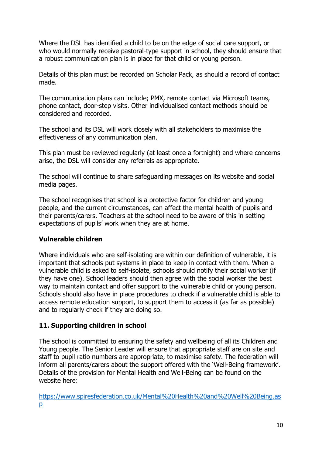Where the DSL has identified a child to be on the edge of social care support, or who would normally receive pastoral-type support in school, they should ensure that a robust communication plan is in place for that child or young person.

Details of this plan must be recorded on Scholar Pack, as should a record of contact made.

The communication plans can include; PMX, remote contact via Microsoft teams, phone contact, door-step visits. Other individualised contact methods should be considered and recorded.

The school and its DSL will work closely with all stakeholders to maximise the effectiveness of any communication plan.

This plan must be reviewed regularly (at least once a fortnight) and where concerns arise, the DSL will consider any referrals as appropriate.

The school will continue to share safeguarding messages on its website and social media pages.

The school recognises that school is a protective factor for children and young people, and the current circumstances, can affect the mental health of pupils and their parents/carers. Teachers at the school need to be aware of this in setting expectations of pupils' work when they are at home.

#### <span id="page-9-0"></span>**Vulnerable children**

Where individuals who are self-isolating are within our definition of vulnerable, it is important that schools put systems in place to keep in contact with them. When a vulnerable child is asked to self-isolate, schools should notify their social worker (if they have one). School leaders should then agree with the social worker the best way to maintain contact and offer support to the vulnerable child or young person. Schools should also have in place procedures to check if a vulnerable child is able to access remote education support, to support them to access it (as far as possible) and to regularly check if they are doing so.

#### **11. Supporting children in school**

The school is committed to ensuring the safety and wellbeing of all its Children and Young people. The Senior Leader will ensure that appropriate staff are on site and staff to pupil ratio numbers are appropriate, to maximise safety. The federation will inform all parents/carers about the support offered with the 'Well-Being framework'. Details of the provision for Mental Health and Well-Being can be found on the website here:

[https://www.spiresfederation.co.uk/Mental%20Health%20and%20Well%20Being.as](https://www.spiresfederation.co.uk/Mental%20Health%20and%20Well%20Being.asp) [p](https://www.spiresfederation.co.uk/Mental%20Health%20and%20Well%20Being.asp)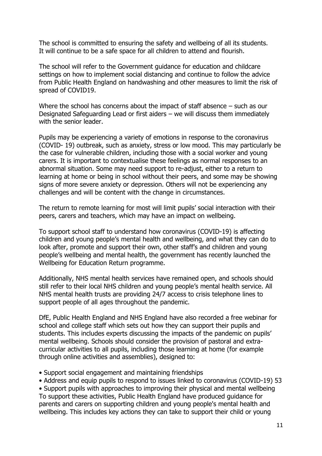The school is committed to ensuring the safety and wellbeing of all its students. It will continue to be a safe space for all children to attend and flourish.

The school will refer to the Government guidance for education and childcare settings on how to implement social distancing and continue to follow the advice from Public Health England on handwashing and other measures to limit the risk of spread of COVID19.

Where the school has concerns about the impact of staff absence – such as our Designated Safeguarding Lead or first aiders – we will discuss them immediately with the senior leader.

Pupils may be experiencing a variety of emotions in response to the coronavirus (COVID- 19) outbreak, such as anxiety, stress or low mood. This may particularly be the case for vulnerable children, including those with a social worker and young carers. It is important to contextualise these feelings as normal responses to an abnormal situation. Some may need support to re-adjust, either to a return to learning at home or being in school without their peers, and some may be showing signs of more severe anxiety or depression. Others will not be experiencing any challenges and will be content with the change in circumstances.

The return to remote learning for most will limit pupils' social interaction with their peers, carers and teachers, which may have an impact on wellbeing.

To support school staff to understand how coronavirus (COVID-19) is affecting children and young people's mental health and wellbeing, and what they can do to look after, promote and support their own, other staff's and children and young people's wellbeing and mental health, the government has recently launched the Wellbeing for Education Return programme.

Additionally, NHS mental health services have remained open, and schools should still refer to their local NHS children and young people's mental health service. All NHS mental health trusts are providing 24/7 access to crisis telephone lines to support people of all ages throughout the pandemic.

DfE, Public Health England and NHS England have also recorded a free webinar for school and college staff which sets out how they can support their pupils and students. This includes experts discussing the impacts of the pandemic on pupils' mental wellbeing. Schools should consider the provision of pastoral and extracurricular activities to all pupils, including those learning at home (for example through online activities and assemblies), designed to:

- Support social engagement and maintaining friendships
- Address and equip pupils to respond to issues linked to coronavirus (COVID-19) 53

• Support pupils with approaches to improving their physical and mental wellbeing To support these activities, Public Health England have produced guidance for parents and carers on supporting children and young people's mental health and wellbeing. This includes key actions they can take to support their child or young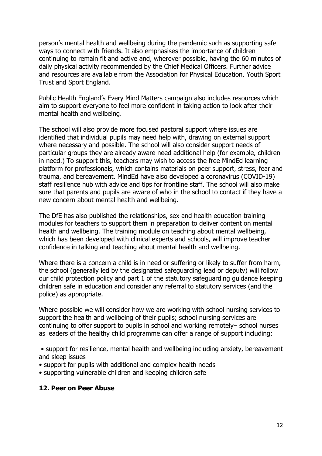person's mental health and wellbeing during the pandemic such as supporting safe ways to connect with friends. It also emphasises the importance of children continuing to remain fit and active and, wherever possible, having the 60 minutes of daily physical activity recommended by the Chief Medical Officers. Further advice and resources are available from the Association for Physical Education, Youth Sport Trust and Sport England.

Public Health England's Every Mind Matters campaign also includes resources which aim to support everyone to feel more confident in taking action to look after their mental health and wellbeing.

The school will also provide more focused pastoral support where issues are identified that individual pupils may need help with, drawing on external support where necessary and possible. The school will also consider support needs of particular groups they are already aware need additional help (for example, children in need.) To support this, teachers may wish to access the free MindEd learning platform for professionals, which contains materials on peer support, stress, fear and trauma, and bereavement. MindEd have also developed a coronavirus (COVID-19) staff resilience hub with advice and tips for frontline staff. The school will also make sure that parents and pupils are aware of who in the school to contact if they have a new concern about mental health and wellbeing.

The DfE has also published the relationships, sex and health education training modules for teachers to support them in preparation to deliver content on mental health and wellbeing. The training module on teaching about mental wellbeing, which has been developed with clinical experts and schools, will improve teacher confidence in talking and teaching about mental health and wellbeing.

Where there is a concern a child is in need or suffering or likely to suffer from harm, the school (generally led by the designated safeguarding lead or deputy) will follow our child protection policy and part 1 of the statutory safeguarding guidance keeping children safe in education and consider any referral to statutory services (and the police) as appropriate.

Where possible we will consider how we are working with school nursing services to support the health and wellbeing of their pupils; school nursing services are continuing to offer support to pupils in school and working remotely– school nurses as leaders of the healthy child programme can offer a range of support including:

• support for resilience, mental health and wellbeing including anxiety, bereavement and sleep issues

- support for pupils with additional and complex health needs
- supporting vulnerable children and keeping children safe

#### <span id="page-11-0"></span>**12. Peer on Peer Abuse**